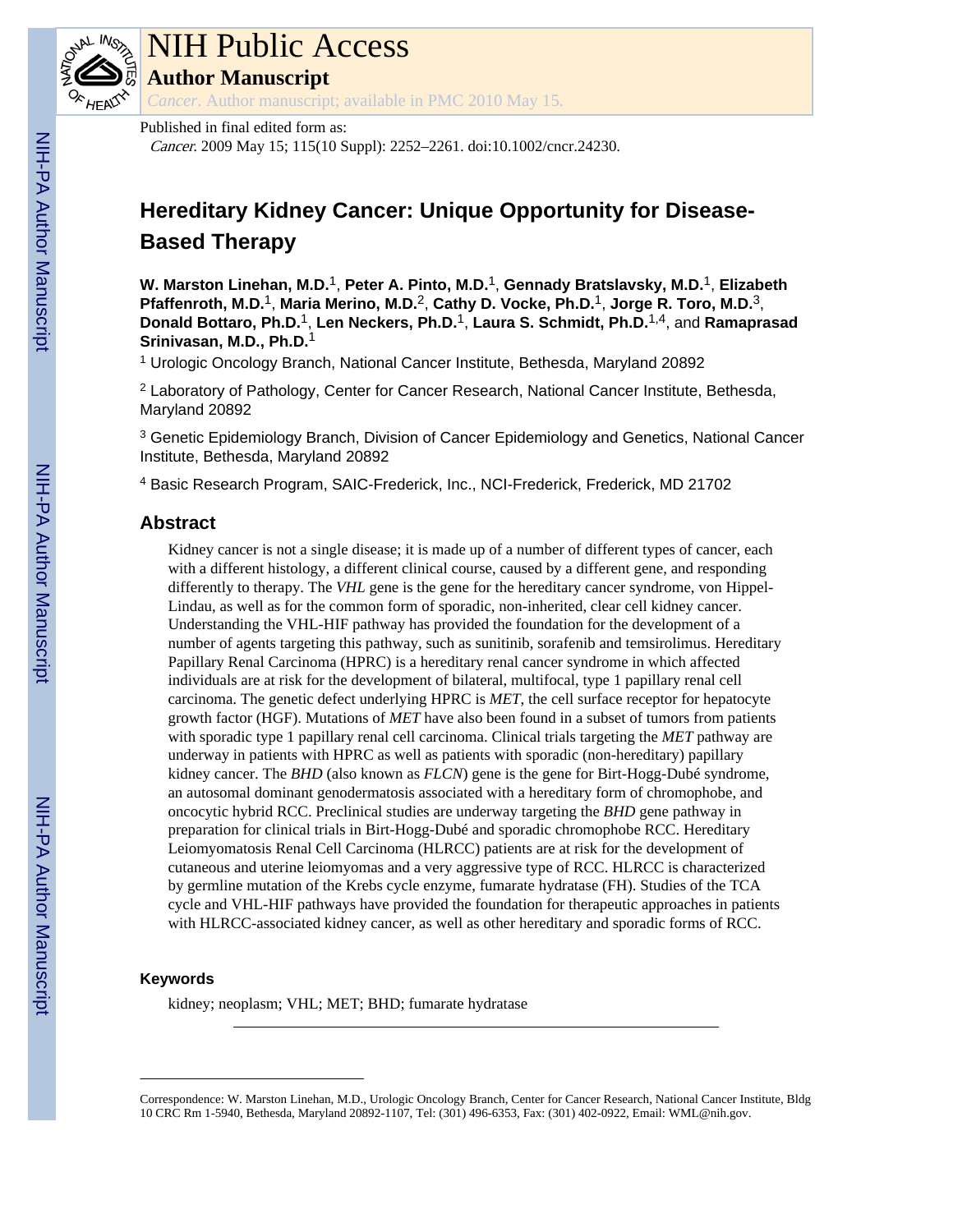

# NIH Public Access

**Author Manuscript**

*Cancer*. Author manuscript; available in PMC 2010 May 15.

Published in final edited form as: Cancer. 2009 May 15; 115(10 Suppl): 2252–2261. doi:10.1002/cncr.24230.

# **Hereditary Kidney Cancer: Unique Opportunity for Disease-Based Therapy**

**W. Marston Linehan, M.D.**1, **Peter A. Pinto, M.D.**1, **Gennady Bratslavsky, M.D.**1, **Elizabeth Pfaffenroth, M.D.**1, **Maria Merino, M.D.**2, **Cathy D. Vocke, Ph.D.**1, **Jorge R. Toro, M.D.**3, **Donald Bottaro, Ph.D.**1, **Len Neckers, Ph.D.**1, **Laura S. Schmidt, Ph.D.**1,4, and **Ramaprasad Srinivasan, M.D., Ph.D.**<sup>1</sup>

<sup>1</sup> Urologic Oncology Branch, National Cancer Institute, Bethesda, Maryland 20892

<sup>2</sup> Laboratory of Pathology, Center for Cancer Research, National Cancer Institute, Bethesda, Maryland 20892

<sup>3</sup> Genetic Epidemiology Branch, Division of Cancer Epidemiology and Genetics, National Cancer Institute, Bethesda, Maryland 20892

4 Basic Research Program, SAIC-Frederick, Inc., NCI-Frederick, Frederick, MD 21702

# **Abstract**

Kidney cancer is not a single disease; it is made up of a number of different types of cancer, each with a different histology, a different clinical course, caused by a different gene, and responding differently to therapy. The *VHL* gene is the gene for the hereditary cancer syndrome, von Hippel-Lindau, as well as for the common form of sporadic, non-inherited, clear cell kidney cancer. Understanding the VHL-HIF pathway has provided the foundation for the development of a number of agents targeting this pathway, such as sunitinib, sorafenib and temsirolimus. Hereditary Papillary Renal Carcinoma (HPRC) is a hereditary renal cancer syndrome in which affected individuals are at risk for the development of bilateral, multifocal, type 1 papillary renal cell carcinoma. The genetic defect underlying HPRC is *MET*, the cell surface receptor for hepatocyte growth factor (HGF). Mutations of *MET* have also been found in a subset of tumors from patients with sporadic type 1 papillary renal cell carcinoma. Clinical trials targeting the *MET* pathway are underway in patients with HPRC as well as patients with sporadic (non-hereditary) papillary kidney cancer. The *BHD* (also known as *FLCN*) gene is the gene for Birt-Hogg-Dubé syndrome, an autosomal dominant genodermatosis associated with a hereditary form of chromophobe, and oncocytic hybrid RCC. Preclinical studies are underway targeting the *BHD* gene pathway in preparation for clinical trials in Birt-Hogg-Dubé and sporadic chromophobe RCC. Hereditary Leiomyomatosis Renal Cell Carcinoma (HLRCC) patients are at risk for the development of cutaneous and uterine leiomyomas and a very aggressive type of RCC. HLRCC is characterized by germline mutation of the Krebs cycle enzyme, fumarate hydratase (FH). Studies of the TCA cycle and VHL-HIF pathways have provided the foundation for therapeutic approaches in patients with HLRCC-associated kidney cancer, as well as other hereditary and sporadic forms of RCC.

#### **Keywords**

kidney; neoplasm; VHL; MET; BHD; fumarate hydratase

Correspondence: W. Marston Linehan, M.D., Urologic Oncology Branch, Center for Cancer Research, National Cancer Institute, Bldg 10 CRC Rm 1-5940, Bethesda, Maryland 20892-1107, Tel: (301) 496-6353, Fax: (301) 402-0922, Email: WML@nih.gov.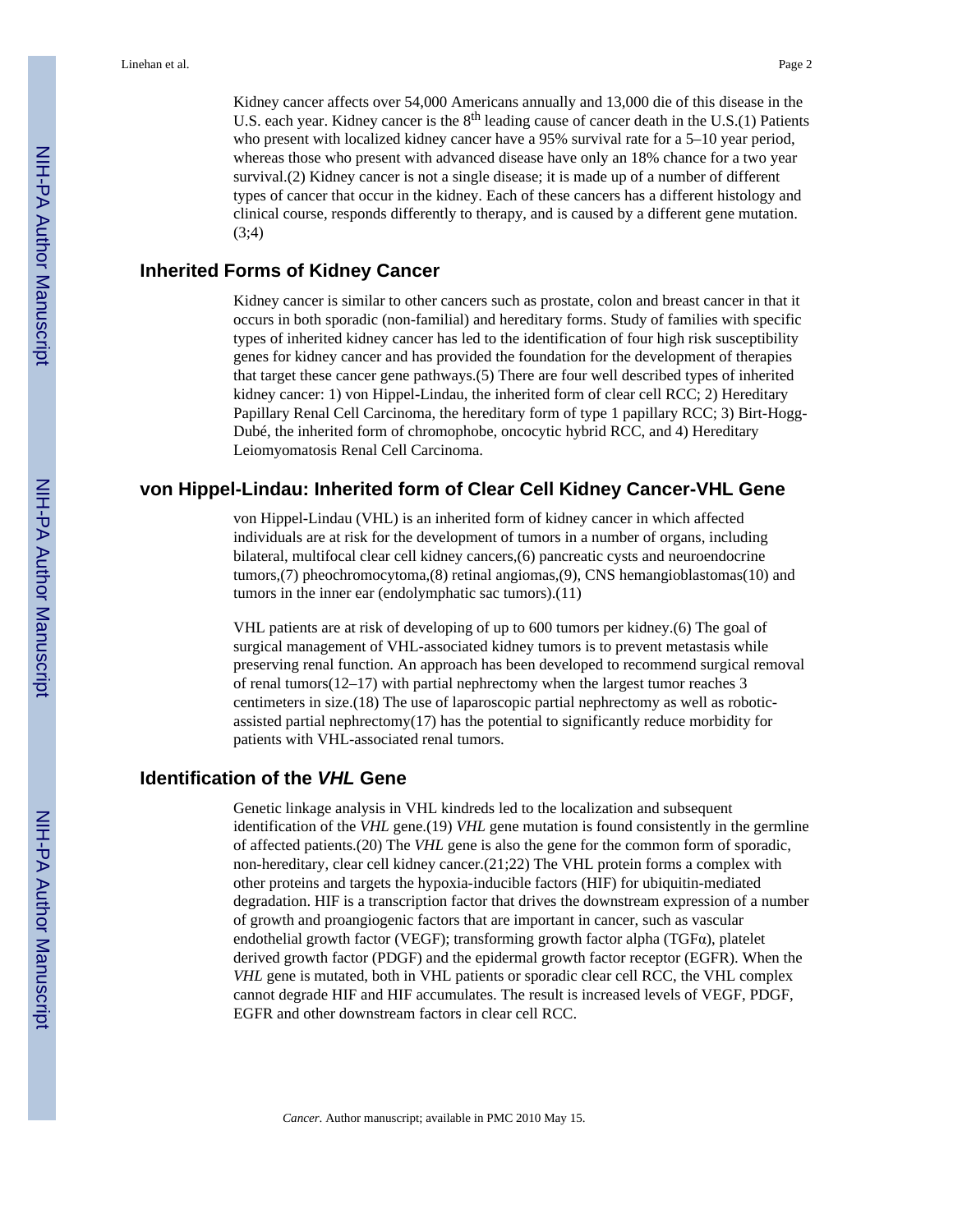Kidney cancer affects over 54,000 Americans annually and 13,000 die of this disease in the U.S. each year. Kidney cancer is the 8<sup>th</sup> leading cause of cancer death in the U.S.(1) Patients who present with localized kidney cancer have a 95% survival rate for a 5–10 year period, whereas those who present with advanced disease have only an 18% chance for a two year survival.(2) Kidney cancer is not a single disease; it is made up of a number of different types of cancer that occur in the kidney. Each of these cancers has a different histology and clinical course, responds differently to therapy, and is caused by a different gene mutation. (3;4)

#### **Inherited Forms of Kidney Cancer**

Kidney cancer is similar to other cancers such as prostate, colon and breast cancer in that it occurs in both sporadic (non-familial) and hereditary forms. Study of families with specific types of inherited kidney cancer has led to the identification of four high risk susceptibility genes for kidney cancer and has provided the foundation for the development of therapies that target these cancer gene pathways.(5) There are four well described types of inherited kidney cancer: 1) von Hippel-Lindau, the inherited form of clear cell RCC; 2) Hereditary Papillary Renal Cell Carcinoma, the hereditary form of type 1 papillary RCC; 3) Birt-Hogg-Dubé, the inherited form of chromophobe, oncocytic hybrid RCC, and 4) Hereditary Leiomyomatosis Renal Cell Carcinoma.

#### **von Hippel-Lindau: Inherited form of Clear Cell Kidney Cancer-VHL Gene**

von Hippel-Lindau (VHL) is an inherited form of kidney cancer in which affected individuals are at risk for the development of tumors in a number of organs, including bilateral, multifocal clear cell kidney cancers,(6) pancreatic cysts and neuroendocrine tumors,(7) pheochromocytoma,(8) retinal angiomas,(9), CNS hemangioblastomas(10) and tumors in the inner ear (endolymphatic sac tumors).(11)

VHL patients are at risk of developing of up to 600 tumors per kidney.(6) The goal of surgical management of VHL-associated kidney tumors is to prevent metastasis while preserving renal function. An approach has been developed to recommend surgical removal of renal tumors(12–17) with partial nephrectomy when the largest tumor reaches 3 centimeters in size.(18) The use of laparoscopic partial nephrectomy as well as roboticassisted partial nephrectomy(17) has the potential to significantly reduce morbidity for patients with VHL-associated renal tumors.

# **Identification of the** *VHL* **Gene**

Genetic linkage analysis in VHL kindreds led to the localization and subsequent identification of the *VHL* gene.(19) *VHL* gene mutation is found consistently in the germline of affected patients.(20) The *VHL* gene is also the gene for the common form of sporadic, non-hereditary, clear cell kidney cancer.(21;22) The VHL protein forms a complex with other proteins and targets the hypoxia-inducible factors (HIF) for ubiquitin-mediated degradation. HIF is a transcription factor that drives the downstream expression of a number of growth and proangiogenic factors that are important in cancer, such as vascular endothelial growth factor (VEGF); transforming growth factor alpha (TGFα), platelet derived growth factor (PDGF) and the epidermal growth factor receptor (EGFR). When the *VHL* gene is mutated, both in VHL patients or sporadic clear cell RCC, the VHL complex cannot degrade HIF and HIF accumulates. The result is increased levels of VEGF, PDGF, EGFR and other downstream factors in clear cell RCC.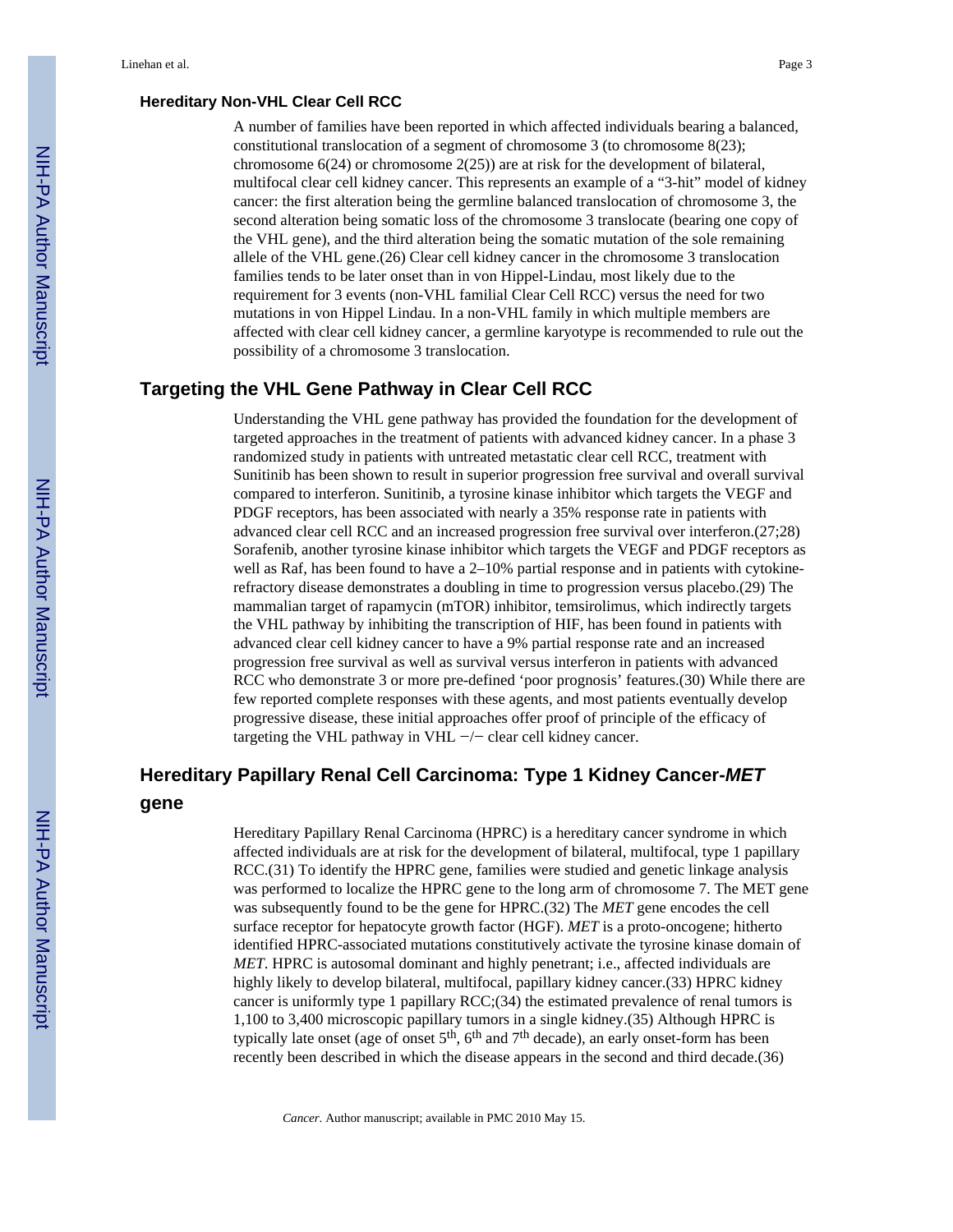#### **Hereditary Non-VHL Clear Cell RCC**

A number of families have been reported in which affected individuals bearing a balanced, constitutional translocation of a segment of chromosome 3 (to chromosome 8(23); chromosome  $6(24)$  or chromosome  $2(25)$ ) are at risk for the development of bilateral, multifocal clear cell kidney cancer. This represents an example of a "3-hit" model of kidney cancer: the first alteration being the germline balanced translocation of chromosome 3, the second alteration being somatic loss of the chromosome 3 translocate (bearing one copy of the VHL gene), and the third alteration being the somatic mutation of the sole remaining allele of the VHL gene.(26) Clear cell kidney cancer in the chromosome 3 translocation families tends to be later onset than in von Hippel-Lindau, most likely due to the requirement for 3 events (non-VHL familial Clear Cell RCC) versus the need for two mutations in von Hippel Lindau. In a non-VHL family in which multiple members are affected with clear cell kidney cancer, a germline karyotype is recommended to rule out the possibility of a chromosome 3 translocation.

#### **Targeting the VHL Gene Pathway in Clear Cell RCC**

Understanding the VHL gene pathway has provided the foundation for the development of targeted approaches in the treatment of patients with advanced kidney cancer. In a phase 3 randomized study in patients with untreated metastatic clear cell RCC, treatment with Sunitinib has been shown to result in superior progression free survival and overall survival compared to interferon. Sunitinib, a tyrosine kinase inhibitor which targets the VEGF and PDGF receptors, has been associated with nearly a 35% response rate in patients with advanced clear cell RCC and an increased progression free survival over interferon.(27;28) Sorafenib, another tyrosine kinase inhibitor which targets the VEGF and PDGF receptors as well as Raf, has been found to have a 2–10% partial response and in patients with cytokinerefractory disease demonstrates a doubling in time to progression versus placebo.(29) The mammalian target of rapamycin (mTOR) inhibitor, temsirolimus, which indirectly targets the VHL pathway by inhibiting the transcription of HIF, has been found in patients with advanced clear cell kidney cancer to have a 9% partial response rate and an increased progression free survival as well as survival versus interferon in patients with advanced RCC who demonstrate 3 or more pre-defined 'poor prognosis' features.(30) While there are few reported complete responses with these agents, and most patients eventually develop progressive disease, these initial approaches offer proof of principle of the efficacy of targeting the VHL pathway in VHL −/− clear cell kidney cancer.

# **Hereditary Papillary Renal Cell Carcinoma: Type 1 Kidney Cancer-***MET*

#### **gene**

Hereditary Papillary Renal Carcinoma (HPRC) is a hereditary cancer syndrome in which affected individuals are at risk for the development of bilateral, multifocal, type 1 papillary RCC.(31) To identify the HPRC gene, families were studied and genetic linkage analysis was performed to localize the HPRC gene to the long arm of chromosome 7. The MET gene was subsequently found to be the gene for HPRC.(32) The *MET* gene encodes the cell surface receptor for hepatocyte growth factor (HGF). *MET* is a proto-oncogene; hitherto identified HPRC-associated mutations constitutively activate the tyrosine kinase domain of *MET*. HPRC is autosomal dominant and highly penetrant; i.e., affected individuals are highly likely to develop bilateral, multifocal, papillary kidney cancer.(33) HPRC kidney cancer is uniformly type 1 papillary RCC;(34) the estimated prevalence of renal tumors is 1,100 to 3,400 microscopic papillary tumors in a single kidney.(35) Although HPRC is typically late onset (age of onset  $5<sup>th</sup>$ ,  $6<sup>th</sup>$  and  $7<sup>th</sup>$  decade), an early onset-form has been recently been described in which the disease appears in the second and third decade.(36)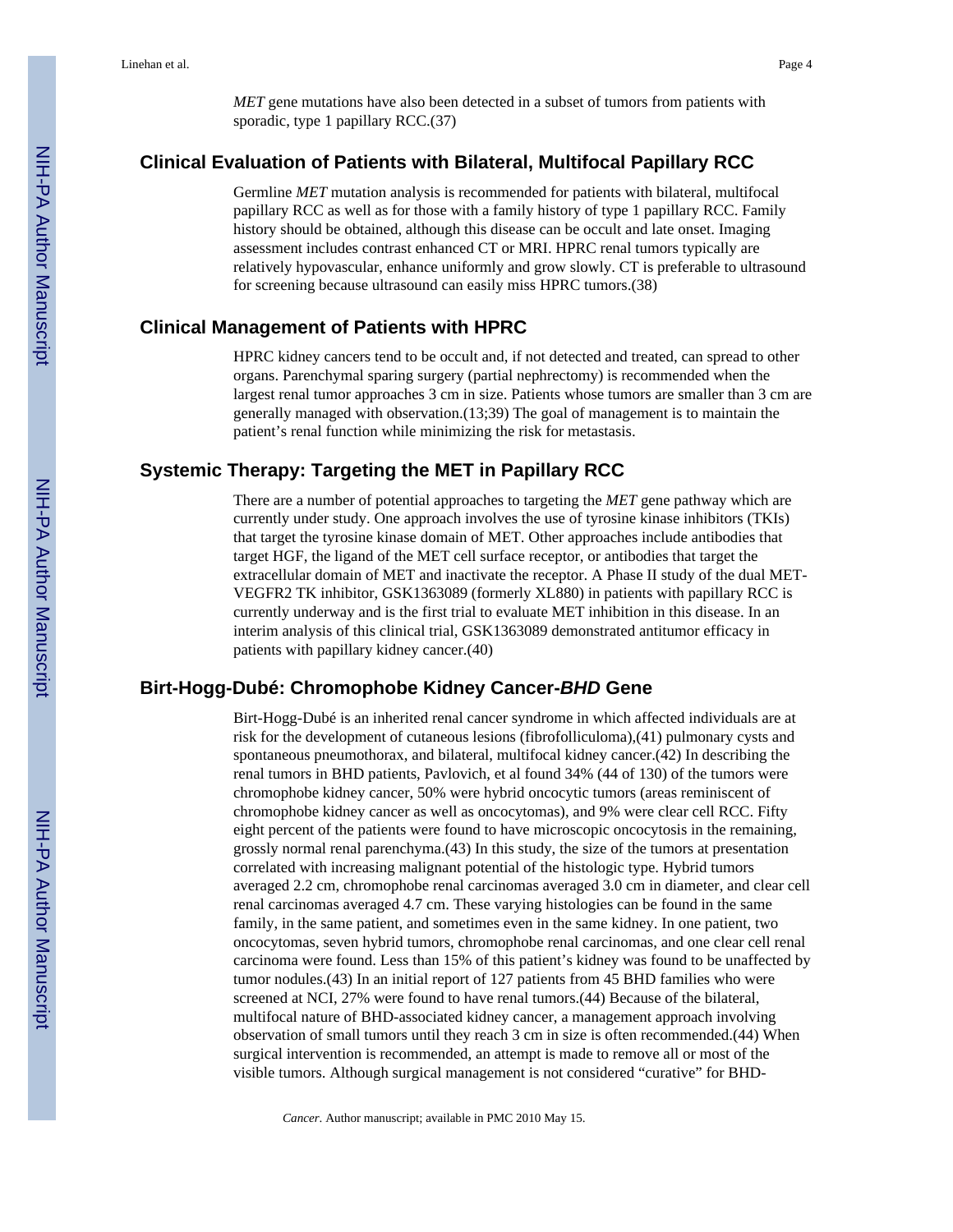*MET* gene mutations have also been detected in a subset of tumors from patients with sporadic, type 1 papillary RCC.(37)

## **Clinical Evaluation of Patients with Bilateral, Multifocal Papillary RCC**

Germline *MET* mutation analysis is recommended for patients with bilateral, multifocal papillary RCC as well as for those with a family history of type 1 papillary RCC. Family history should be obtained, although this disease can be occult and late onset. Imaging assessment includes contrast enhanced CT or MRI. HPRC renal tumors typically are relatively hypovascular, enhance uniformly and grow slowly. CT is preferable to ultrasound for screening because ultrasound can easily miss HPRC tumors.(38)

#### **Clinical Management of Patients with HPRC**

HPRC kidney cancers tend to be occult and, if not detected and treated, can spread to other organs. Parenchymal sparing surgery (partial nephrectomy) is recommended when the largest renal tumor approaches 3 cm in size. Patients whose tumors are smaller than 3 cm are generally managed with observation.(13;39) The goal of management is to maintain the patient's renal function while minimizing the risk for metastasis.

#### **Systemic Therapy: Targeting the MET in Papillary RCC**

There are a number of potential approaches to targeting the *MET* gene pathway which are currently under study. One approach involves the use of tyrosine kinase inhibitors (TKIs) that target the tyrosine kinase domain of MET. Other approaches include antibodies that target HGF, the ligand of the MET cell surface receptor, or antibodies that target the extracellular domain of MET and inactivate the receptor. A Phase II study of the dual MET-VEGFR2 TK inhibitor, GSK1363089 (formerly XL880) in patients with papillary RCC is currently underway and is the first trial to evaluate MET inhibition in this disease. In an interim analysis of this clinical trial, GSK1363089 demonstrated antitumor efficacy in patients with papillary kidney cancer.(40)

#### **Birt-Hogg-Dubé: Chromophobe Kidney Cancer-***BHD* **Gene**

Birt-Hogg-Dubé is an inherited renal cancer syndrome in which affected individuals are at risk for the development of cutaneous lesions (fibrofolliculoma),(41) pulmonary cysts and spontaneous pneumothorax, and bilateral, multifocal kidney cancer.(42) In describing the renal tumors in BHD patients, Pavlovich, et al found 34% (44 of 130) of the tumors were chromophobe kidney cancer, 50% were hybrid oncocytic tumors (areas reminiscent of chromophobe kidney cancer as well as oncocytomas), and 9% were clear cell RCC. Fifty eight percent of the patients were found to have microscopic oncocytosis in the remaining, grossly normal renal parenchyma.(43) In this study, the size of the tumors at presentation correlated with increasing malignant potential of the histologic type. Hybrid tumors averaged 2.2 cm, chromophobe renal carcinomas averaged 3.0 cm in diameter, and clear cell renal carcinomas averaged 4.7 cm. These varying histologies can be found in the same family, in the same patient, and sometimes even in the same kidney. In one patient, two oncocytomas, seven hybrid tumors, chromophobe renal carcinomas, and one clear cell renal carcinoma were found. Less than 15% of this patient's kidney was found to be unaffected by tumor nodules.(43) In an initial report of 127 patients from 45 BHD families who were screened at NCI, 27% were found to have renal tumors.(44) Because of the bilateral, multifocal nature of BHD-associated kidney cancer, a management approach involving observation of small tumors until they reach 3 cm in size is often recommended.(44) When surgical intervention is recommended, an attempt is made to remove all or most of the visible tumors. Although surgical management is not considered "curative" for BHD-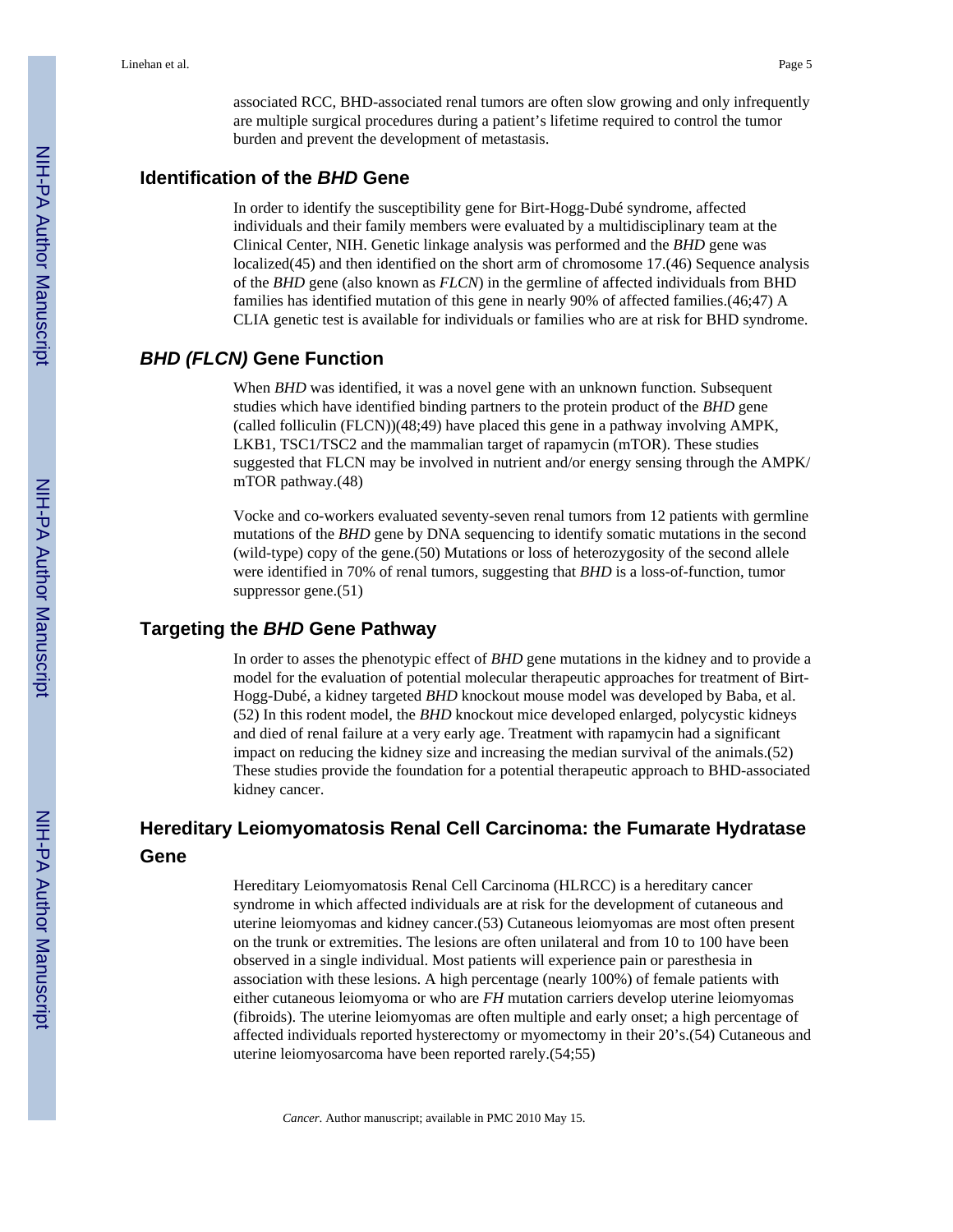associated RCC, BHD-associated renal tumors are often slow growing and only infrequently are multiple surgical procedures during a patient's lifetime required to control the tumor burden and prevent the development of metastasis.

#### **Identification of the** *BHD* **Gene**

In order to identify the susceptibility gene for Birt-Hogg-Dubé syndrome, affected individuals and their family members were evaluated by a multidisciplinary team at the Clinical Center, NIH. Genetic linkage analysis was performed and the *BHD* gene was localized(45) and then identified on the short arm of chromosome 17.(46) Sequence analysis of the *BHD* gene (also known as *FLCN*) in the germline of affected individuals from BHD families has identified mutation of this gene in nearly 90% of affected families.(46;47) A CLIA genetic test is available for individuals or families who are at risk for BHD syndrome.

#### *BHD (FLCN)* **Gene Function**

When *BHD* was identified, it was a novel gene with an unknown function. Subsequent studies which have identified binding partners to the protein product of the *BHD* gene (called folliculin (FLCN))(48;49) have placed this gene in a pathway involving AMPK, LKB1, TSC1/TSC2 and the mammalian target of rapamycin (mTOR). These studies suggested that FLCN may be involved in nutrient and/or energy sensing through the AMPK/ mTOR pathway.(48)

Vocke and co-workers evaluated seventy-seven renal tumors from 12 patients with germline mutations of the *BHD* gene by DNA sequencing to identify somatic mutations in the second (wild-type) copy of the gene.(50) Mutations or loss of heterozygosity of the second allele were identified in 70% of renal tumors, suggesting that *BHD* is a loss-of-function, tumor suppressor gene.(51)

#### **Targeting the** *BHD* **Gene Pathway**

In order to asses the phenotypic effect of *BHD* gene mutations in the kidney and to provide a model for the evaluation of potential molecular therapeutic approaches for treatment of Birt-Hogg-Dubé, a kidney targeted *BHD* knockout mouse model was developed by Baba, et al. (52) In this rodent model, the *BHD* knockout mice developed enlarged, polycystic kidneys and died of renal failure at a very early age. Treatment with rapamycin had a significant impact on reducing the kidney size and increasing the median survival of the animals.(52) These studies provide the foundation for a potential therapeutic approach to BHD-associated kidney cancer.

# **Hereditary Leiomyomatosis Renal Cell Carcinoma: the Fumarate Hydratase Gene**

Hereditary Leiomyomatosis Renal Cell Carcinoma (HLRCC) is a hereditary cancer syndrome in which affected individuals are at risk for the development of cutaneous and uterine leiomyomas and kidney cancer.(53) Cutaneous leiomyomas are most often present on the trunk or extremities. The lesions are often unilateral and from 10 to 100 have been observed in a single individual. Most patients will experience pain or paresthesia in association with these lesions. A high percentage (nearly 100%) of female patients with either cutaneous leiomyoma or who are *FH* mutation carriers develop uterine leiomyomas (fibroids). The uterine leiomyomas are often multiple and early onset; a high percentage of affected individuals reported hysterectomy or myomectomy in their 20's.(54) Cutaneous and uterine leiomyosarcoma have been reported rarely.(54;55)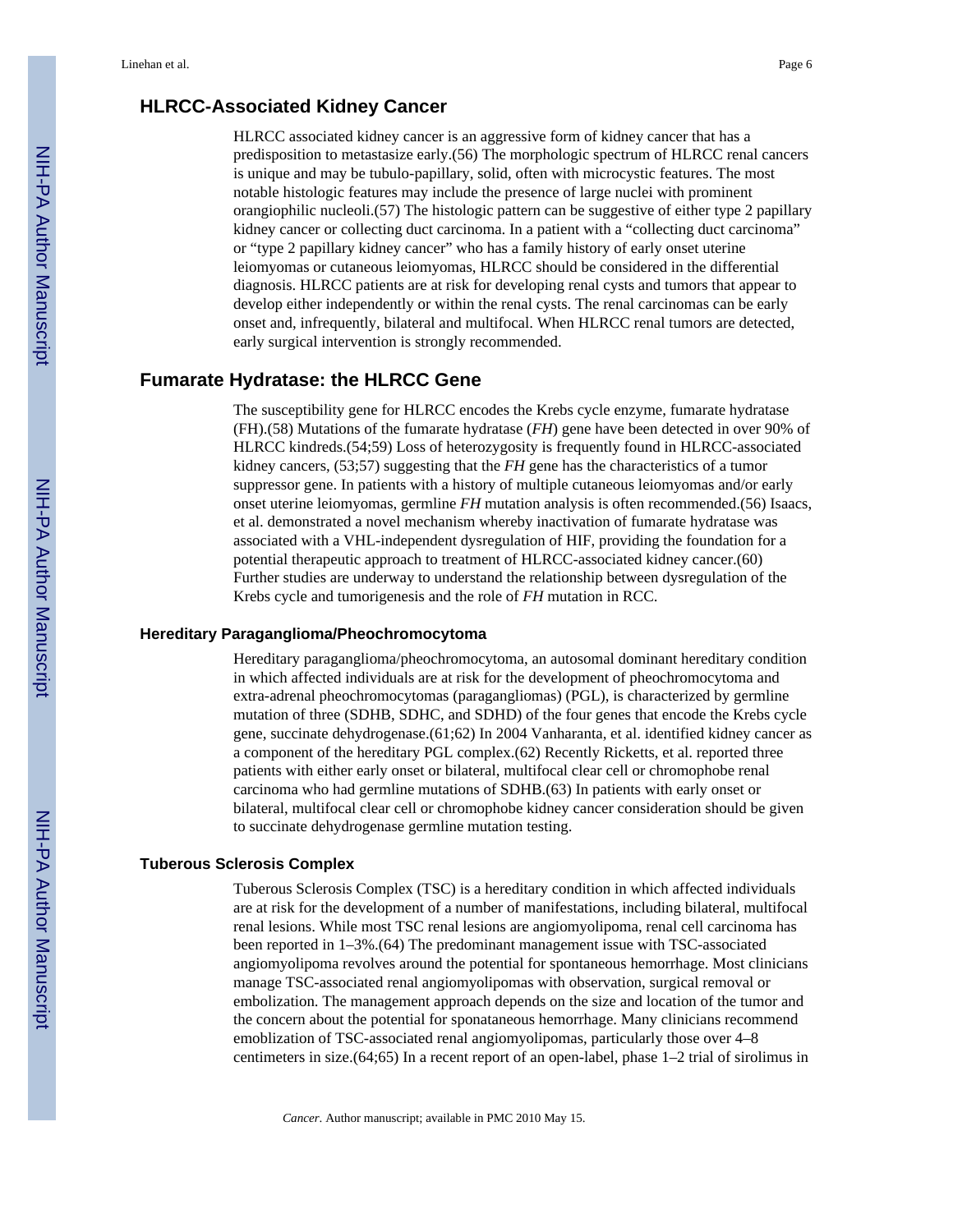#### **HLRCC-Associated Kidney Cancer**

HLRCC associated kidney cancer is an aggressive form of kidney cancer that has a predisposition to metastasize early.(56) The morphologic spectrum of HLRCC renal cancers is unique and may be tubulo-papillary, solid, often with microcystic features. The most notable histologic features may include the presence of large nuclei with prominent orangiophilic nucleoli.(57) The histologic pattern can be suggestive of either type 2 papillary kidney cancer or collecting duct carcinoma. In a patient with a "collecting duct carcinoma" or "type 2 papillary kidney cancer" who has a family history of early onset uterine leiomyomas or cutaneous leiomyomas, HLRCC should be considered in the differential diagnosis. HLRCC patients are at risk for developing renal cysts and tumors that appear to develop either independently or within the renal cysts. The renal carcinomas can be early onset and, infrequently, bilateral and multifocal. When HLRCC renal tumors are detected, early surgical intervention is strongly recommended.

## **Fumarate Hydratase: the HLRCC Gene**

The susceptibility gene for HLRCC encodes the Krebs cycle enzyme, fumarate hydratase (FH).(58) Mutations of the fumarate hydratase (*FH*) gene have been detected in over 90% of HLRCC kindreds.(54;59) Loss of heterozygosity is frequently found in HLRCC-associated kidney cancers, (53;57) suggesting that the *FH* gene has the characteristics of a tumor suppressor gene. In patients with a history of multiple cutaneous leiomyomas and/or early onset uterine leiomyomas, germline *FH* mutation analysis is often recommended.(56) Isaacs, et al. demonstrated a novel mechanism whereby inactivation of fumarate hydratase was associated with a VHL-independent dysregulation of HIF, providing the foundation for a potential therapeutic approach to treatment of HLRCC-associated kidney cancer.(60) Further studies are underway to understand the relationship between dysregulation of the Krebs cycle and tumorigenesis and the role of *FH* mutation in RCC.

#### **Hereditary Paraganglioma/Pheochromocytoma**

Hereditary paraganglioma/pheochromocytoma, an autosomal dominant hereditary condition in which affected individuals are at risk for the development of pheochromocytoma and extra-adrenal pheochromocytomas (paragangliomas) (PGL), is characterized by germline mutation of three (SDHB, SDHC, and SDHD) of the four genes that encode the Krebs cycle gene, succinate dehydrogenase.(61;62) In 2004 Vanharanta, et al. identified kidney cancer as a component of the hereditary PGL complex.(62) Recently Ricketts, et al. reported three patients with either early onset or bilateral, multifocal clear cell or chromophobe renal carcinoma who had germline mutations of SDHB.(63) In patients with early onset or bilateral, multifocal clear cell or chromophobe kidney cancer consideration should be given to succinate dehydrogenase germline mutation testing.

#### **Tuberous Sclerosis Complex**

Tuberous Sclerosis Complex (TSC) is a hereditary condition in which affected individuals are at risk for the development of a number of manifestations, including bilateral, multifocal renal lesions. While most TSC renal lesions are angiomyolipoma, renal cell carcinoma has been reported in 1–3%.(64) The predominant management issue with TSC-associated angiomyolipoma revolves around the potential for spontaneous hemorrhage. Most clinicians manage TSC-associated renal angiomyolipomas with observation, surgical removal or embolization. The management approach depends on the size and location of the tumor and the concern about the potential for sponataneous hemorrhage. Many clinicians recommend emoblization of TSC-associated renal angiomyolipomas, particularly those over 4–8 centimeters in size.(64;65) In a recent report of an open-label, phase 1–2 trial of sirolimus in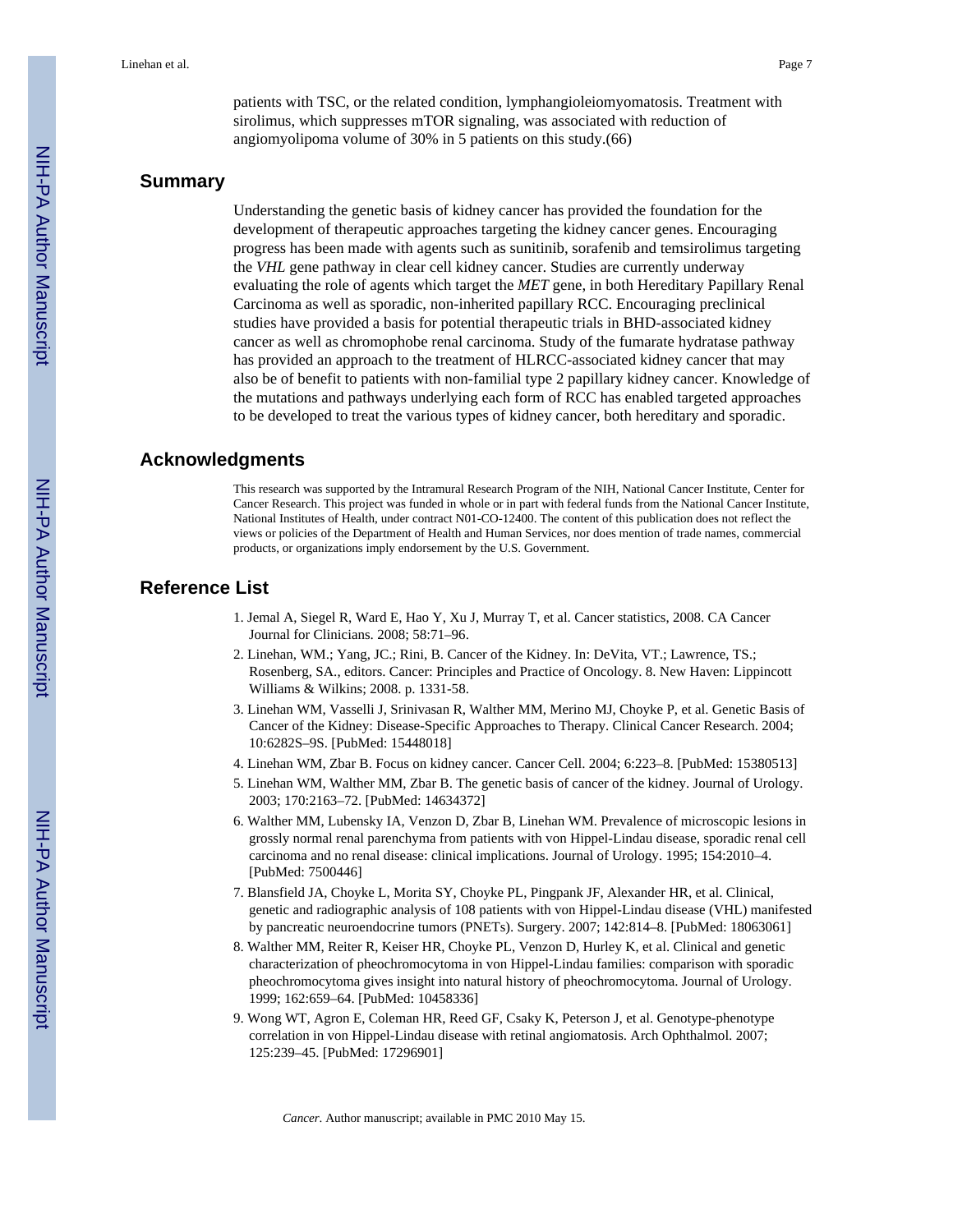patients with TSC, or the related condition, lymphangioleiomyomatosis. Treatment with sirolimus, which suppresses mTOR signaling, was associated with reduction of angiomyolipoma volume of 30% in 5 patients on this study.(66)

#### **Summary**

Understanding the genetic basis of kidney cancer has provided the foundation for the development of therapeutic approaches targeting the kidney cancer genes. Encouraging progress has been made with agents such as sunitinib, sorafenib and temsirolimus targeting the *VHL* gene pathway in clear cell kidney cancer. Studies are currently underway evaluating the role of agents which target the *MET* gene, in both Hereditary Papillary Renal Carcinoma as well as sporadic, non-inherited papillary RCC. Encouraging preclinical studies have provided a basis for potential therapeutic trials in BHD-associated kidney cancer as well as chromophobe renal carcinoma. Study of the fumarate hydratase pathway has provided an approach to the treatment of HLRCC-associated kidney cancer that may also be of benefit to patients with non-familial type 2 papillary kidney cancer. Knowledge of the mutations and pathways underlying each form of RCC has enabled targeted approaches to be developed to treat the various types of kidney cancer, both hereditary and sporadic.

#### **Acknowledgments**

This research was supported by the Intramural Research Program of the NIH, National Cancer Institute, Center for Cancer Research. This project was funded in whole or in part with federal funds from the National Cancer Institute, National Institutes of Health, under contract N01-CO-12400. The content of this publication does not reflect the views or policies of the Department of Health and Human Services, nor does mention of trade names, commercial products, or organizations imply endorsement by the U.S. Government.

# **Reference List**

- 1. Jemal A, Siegel R, Ward E, Hao Y, Xu J, Murray T, et al. Cancer statistics, 2008. CA Cancer Journal for Clinicians. 2008; 58:71–96.
- 2. Linehan, WM.; Yang, JC.; Rini, B. Cancer of the Kidney. In: DeVita, VT.; Lawrence, TS.; Rosenberg, SA., editors. Cancer: Principles and Practice of Oncology. 8. New Haven: Lippincott Williams & Wilkins; 2008. p. 1331-58.
- 3. Linehan WM, Vasselli J, Srinivasan R, Walther MM, Merino MJ, Choyke P, et al. Genetic Basis of Cancer of the Kidney: Disease-Specific Approaches to Therapy. Clinical Cancer Research. 2004; 10:6282S–9S. [PubMed: 15448018]
- 4. Linehan WM, Zbar B. Focus on kidney cancer. Cancer Cell. 2004; 6:223–8. [PubMed: 15380513]
- 5. Linehan WM, Walther MM, Zbar B. The genetic basis of cancer of the kidney. Journal of Urology. 2003; 170:2163–72. [PubMed: 14634372]
- 6. Walther MM, Lubensky IA, Venzon D, Zbar B, Linehan WM. Prevalence of microscopic lesions in grossly normal renal parenchyma from patients with von Hippel-Lindau disease, sporadic renal cell carcinoma and no renal disease: clinical implications. Journal of Urology. 1995; 154:2010–4. [PubMed: 7500446]
- 7. Blansfield JA, Choyke L, Morita SY, Choyke PL, Pingpank JF, Alexander HR, et al. Clinical, genetic and radiographic analysis of 108 patients with von Hippel-Lindau disease (VHL) manifested by pancreatic neuroendocrine tumors (PNETs). Surgery. 2007; 142:814–8. [PubMed: 18063061]
- 8. Walther MM, Reiter R, Keiser HR, Choyke PL, Venzon D, Hurley K, et al. Clinical and genetic characterization of pheochromocytoma in von Hippel-Lindau families: comparison with sporadic pheochromocytoma gives insight into natural history of pheochromocytoma. Journal of Urology. 1999; 162:659–64. [PubMed: 10458336]
- 9. Wong WT, Agron E, Coleman HR, Reed GF, Csaky K, Peterson J, et al. Genotype-phenotype correlation in von Hippel-Lindau disease with retinal angiomatosis. Arch Ophthalmol. 2007; 125:239–45. [PubMed: 17296901]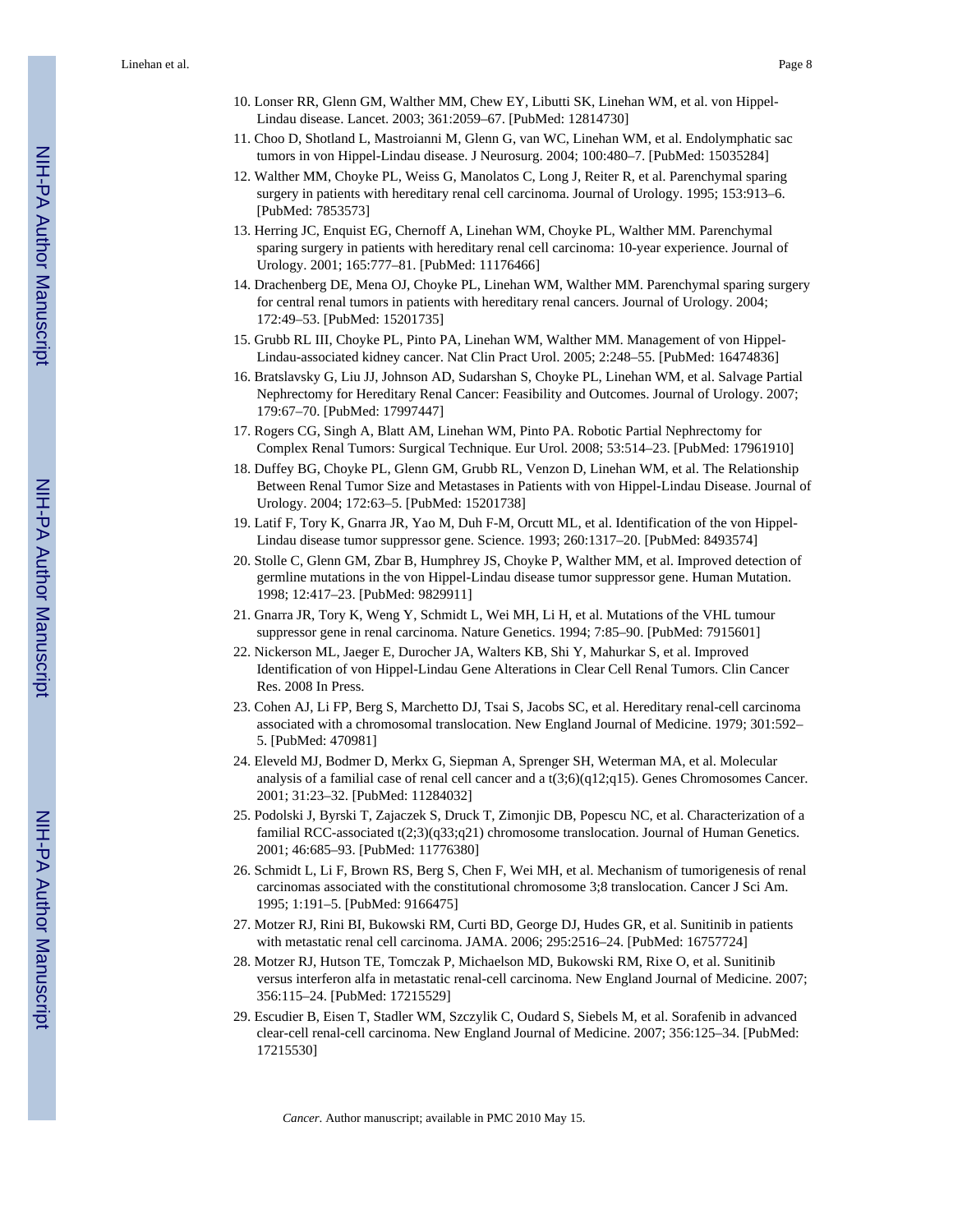Linehan et al. Page 8

- 10. Lonser RR, Glenn GM, Walther MM, Chew EY, Libutti SK, Linehan WM, et al. von Hippel-Lindau disease. Lancet. 2003; 361:2059–67. [PubMed: 12814730]
- 11. Choo D, Shotland L, Mastroianni M, Glenn G, van WC, Linehan WM, et al. Endolymphatic sac tumors in von Hippel-Lindau disease. J Neurosurg. 2004; 100:480–7. [PubMed: 15035284]
- 12. Walther MM, Choyke PL, Weiss G, Manolatos C, Long J, Reiter R, et al. Parenchymal sparing surgery in patients with hereditary renal cell carcinoma. Journal of Urology. 1995; 153:913–6. [PubMed: 7853573]
- 13. Herring JC, Enquist EG, Chernoff A, Linehan WM, Choyke PL, Walther MM. Parenchymal sparing surgery in patients with hereditary renal cell carcinoma: 10-year experience. Journal of Urology. 2001; 165:777–81. [PubMed: 11176466]
- 14. Drachenberg DE, Mena OJ, Choyke PL, Linehan WM, Walther MM. Parenchymal sparing surgery for central renal tumors in patients with hereditary renal cancers. Journal of Urology. 2004; 172:49–53. [PubMed: 15201735]
- 15. Grubb RL III, Choyke PL, Pinto PA, Linehan WM, Walther MM. Management of von Hippel-Lindau-associated kidney cancer. Nat Clin Pract Urol. 2005; 2:248–55. [PubMed: 16474836]
- 16. Bratslavsky G, Liu JJ, Johnson AD, Sudarshan S, Choyke PL, Linehan WM, et al. Salvage Partial Nephrectomy for Hereditary Renal Cancer: Feasibility and Outcomes. Journal of Urology. 2007; 179:67–70. [PubMed: 17997447]
- 17. Rogers CG, Singh A, Blatt AM, Linehan WM, Pinto PA. Robotic Partial Nephrectomy for Complex Renal Tumors: Surgical Technique. Eur Urol. 2008; 53:514–23. [PubMed: 17961910]
- 18. Duffey BG, Choyke PL, Glenn GM, Grubb RL, Venzon D, Linehan WM, et al. The Relationship Between Renal Tumor Size and Metastases in Patients with von Hippel-Lindau Disease. Journal of Urology. 2004; 172:63–5. [PubMed: 15201738]
- 19. Latif F, Tory K, Gnarra JR, Yao M, Duh F-M, Orcutt ML, et al. Identification of the von Hippel-Lindau disease tumor suppressor gene. Science. 1993; 260:1317–20. [PubMed: 8493574]
- 20. Stolle C, Glenn GM, Zbar B, Humphrey JS, Choyke P, Walther MM, et al. Improved detection of germline mutations in the von Hippel-Lindau disease tumor suppressor gene. Human Mutation. 1998; 12:417–23. [PubMed: 9829911]
- 21. Gnarra JR, Tory K, Weng Y, Schmidt L, Wei MH, Li H, et al. Mutations of the VHL tumour suppressor gene in renal carcinoma. Nature Genetics. 1994; 7:85–90. [PubMed: 7915601]
- 22. Nickerson ML, Jaeger E, Durocher JA, Walters KB, Shi Y, Mahurkar S, et al. Improved Identification of von Hippel-Lindau Gene Alterations in Clear Cell Renal Tumors. Clin Cancer Res. 2008 In Press.
- 23. Cohen AJ, Li FP, Berg S, Marchetto DJ, Tsai S, Jacobs SC, et al. Hereditary renal-cell carcinoma associated with a chromosomal translocation. New England Journal of Medicine. 1979; 301:592– 5. [PubMed: 470981]
- 24. Eleveld MJ, Bodmer D, Merkx G, Siepman A, Sprenger SH, Weterman MA, et al. Molecular analysis of a familial case of renal cell cancer and a t(3;6)(q12;q15). Genes Chromosomes Cancer. 2001; 31:23–32. [PubMed: 11284032]
- 25. Podolski J, Byrski T, Zajaczek S, Druck T, Zimonjic DB, Popescu NC, et al. Characterization of a familial RCC-associated t(2;3)(q33;q21) chromosome translocation. Journal of Human Genetics. 2001; 46:685–93. [PubMed: 11776380]
- 26. Schmidt L, Li F, Brown RS, Berg S, Chen F, Wei MH, et al. Mechanism of tumorigenesis of renal carcinomas associated with the constitutional chromosome 3;8 translocation. Cancer J Sci Am. 1995; 1:191–5. [PubMed: 9166475]
- 27. Motzer RJ, Rini BI, Bukowski RM, Curti BD, George DJ, Hudes GR, et al. Sunitinib in patients with metastatic renal cell carcinoma. JAMA. 2006; 295:2516–24. [PubMed: 16757724]
- 28. Motzer RJ, Hutson TE, Tomczak P, Michaelson MD, Bukowski RM, Rixe O, et al. Sunitinib versus interferon alfa in metastatic renal-cell carcinoma. New England Journal of Medicine. 2007; 356:115–24. [PubMed: 17215529]
- 29. Escudier B, Eisen T, Stadler WM, Szczylik C, Oudard S, Siebels M, et al. Sorafenib in advanced clear-cell renal-cell carcinoma. New England Journal of Medicine. 2007; 356:125–34. [PubMed: 17215530]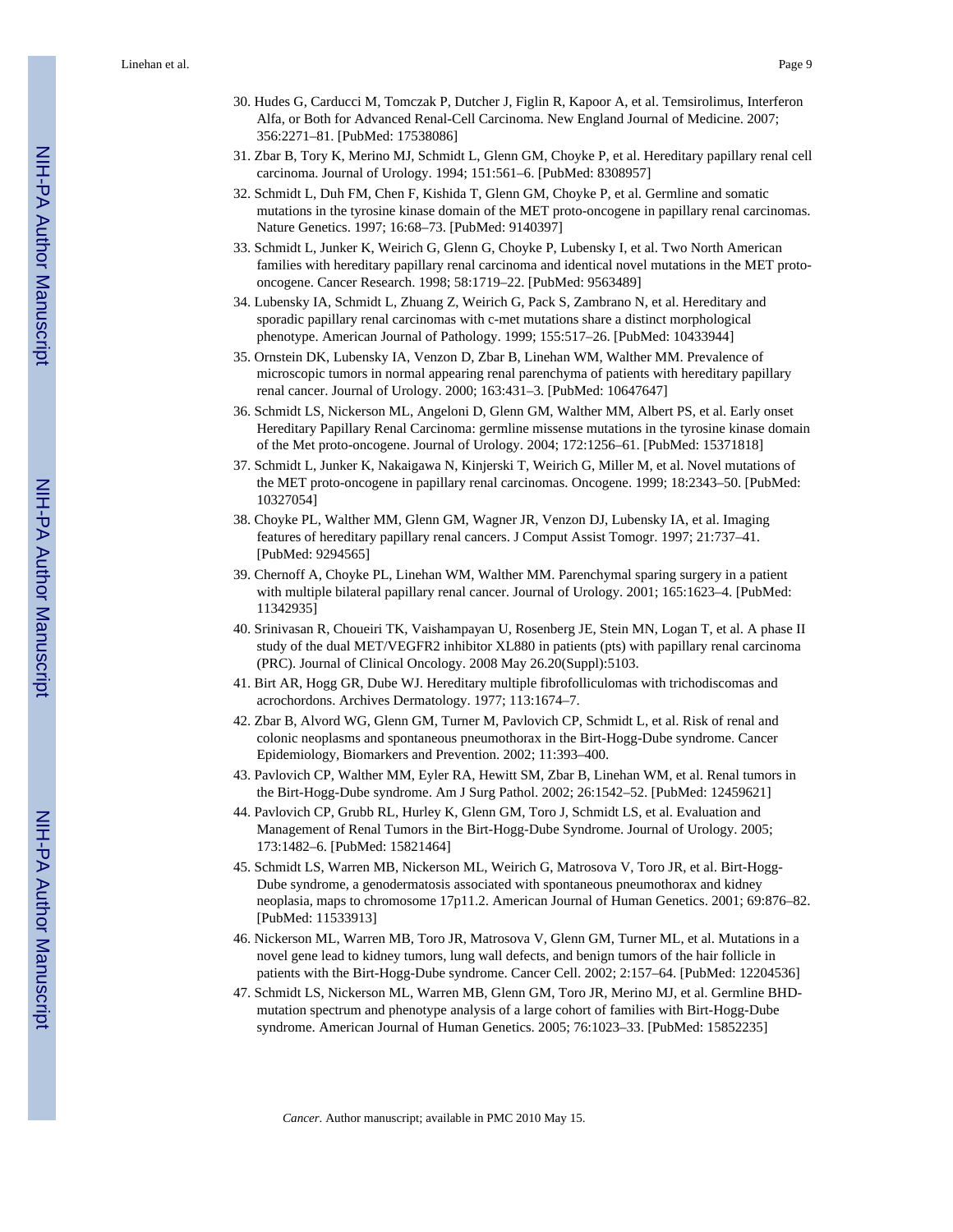- 30. Hudes G, Carducci M, Tomczak P, Dutcher J, Figlin R, Kapoor A, et al. Temsirolimus, Interferon Alfa, or Both for Advanced Renal-Cell Carcinoma. New England Journal of Medicine. 2007; 356:2271–81. [PubMed: 17538086]
- 31. Zbar B, Tory K, Merino MJ, Schmidt L, Glenn GM, Choyke P, et al. Hereditary papillary renal cell carcinoma. Journal of Urology. 1994; 151:561–6. [PubMed: 8308957]
- 32. Schmidt L, Duh FM, Chen F, Kishida T, Glenn GM, Choyke P, et al. Germline and somatic mutations in the tyrosine kinase domain of the MET proto-oncogene in papillary renal carcinomas. Nature Genetics. 1997; 16:68–73. [PubMed: 9140397]
- 33. Schmidt L, Junker K, Weirich G, Glenn G, Choyke P, Lubensky I, et al. Two North American families with hereditary papillary renal carcinoma and identical novel mutations in the MET protooncogene. Cancer Research. 1998; 58:1719–22. [PubMed: 9563489]
- 34. Lubensky IA, Schmidt L, Zhuang Z, Weirich G, Pack S, Zambrano N, et al. Hereditary and sporadic papillary renal carcinomas with c-met mutations share a distinct morphological phenotype. American Journal of Pathology. 1999; 155:517–26. [PubMed: 10433944]
- 35. Ornstein DK, Lubensky IA, Venzon D, Zbar B, Linehan WM, Walther MM. Prevalence of microscopic tumors in normal appearing renal parenchyma of patients with hereditary papillary renal cancer. Journal of Urology. 2000; 163:431–3. [PubMed: 10647647]
- 36. Schmidt LS, Nickerson ML, Angeloni D, Glenn GM, Walther MM, Albert PS, et al. Early onset Hereditary Papillary Renal Carcinoma: germline missense mutations in the tyrosine kinase domain of the Met proto-oncogene. Journal of Urology. 2004; 172:1256–61. [PubMed: 15371818]
- 37. Schmidt L, Junker K, Nakaigawa N, Kinjerski T, Weirich G, Miller M, et al. Novel mutations of the MET proto-oncogene in papillary renal carcinomas. Oncogene. 1999; 18:2343–50. [PubMed: 10327054]
- 38. Choyke PL, Walther MM, Glenn GM, Wagner JR, Venzon DJ, Lubensky IA, et al. Imaging features of hereditary papillary renal cancers. J Comput Assist Tomogr. 1997; 21:737–41. [PubMed: 9294565]
- 39. Chernoff A, Choyke PL, Linehan WM, Walther MM. Parenchymal sparing surgery in a patient with multiple bilateral papillary renal cancer. Journal of Urology. 2001; 165:1623–4. [PubMed: 11342935]
- 40. Srinivasan R, Choueiri TK, Vaishampayan U, Rosenberg JE, Stein MN, Logan T, et al. A phase II study of the dual MET/VEGFR2 inhibitor XL880 in patients (pts) with papillary renal carcinoma (PRC). Journal of Clinical Oncology. 2008 May 26.20(Suppl):5103.
- 41. Birt AR, Hogg GR, Dube WJ. Hereditary multiple fibrofolliculomas with trichodiscomas and acrochordons. Archives Dermatology. 1977; 113:1674–7.
- 42. Zbar B, Alvord WG, Glenn GM, Turner M, Pavlovich CP, Schmidt L, et al. Risk of renal and colonic neoplasms and spontaneous pneumothorax in the Birt-Hogg-Dube syndrome. Cancer Epidemiology, Biomarkers and Prevention. 2002; 11:393–400.
- 43. Pavlovich CP, Walther MM, Eyler RA, Hewitt SM, Zbar B, Linehan WM, et al. Renal tumors in the Birt-Hogg-Dube syndrome. Am J Surg Pathol. 2002; 26:1542–52. [PubMed: 12459621]
- 44. Pavlovich CP, Grubb RL, Hurley K, Glenn GM, Toro J, Schmidt LS, et al. Evaluation and Management of Renal Tumors in the Birt-Hogg-Dube Syndrome. Journal of Urology. 2005; 173:1482–6. [PubMed: 15821464]
- 45. Schmidt LS, Warren MB, Nickerson ML, Weirich G, Matrosova V, Toro JR, et al. Birt-Hogg-Dube syndrome, a genodermatosis associated with spontaneous pneumothorax and kidney neoplasia, maps to chromosome 17p11.2. American Journal of Human Genetics. 2001; 69:876–82. [PubMed: 11533913]
- 46. Nickerson ML, Warren MB, Toro JR, Matrosova V, Glenn GM, Turner ML, et al. Mutations in a novel gene lead to kidney tumors, lung wall defects, and benign tumors of the hair follicle in patients with the Birt-Hogg-Dube syndrome. Cancer Cell. 2002; 2:157–64. [PubMed: 12204536]
- 47. Schmidt LS, Nickerson ML, Warren MB, Glenn GM, Toro JR, Merino MJ, et al. Germline BHDmutation spectrum and phenotype analysis of a large cohort of families with Birt-Hogg-Dube syndrome. American Journal of Human Genetics. 2005; 76:1023–33. [PubMed: 15852235]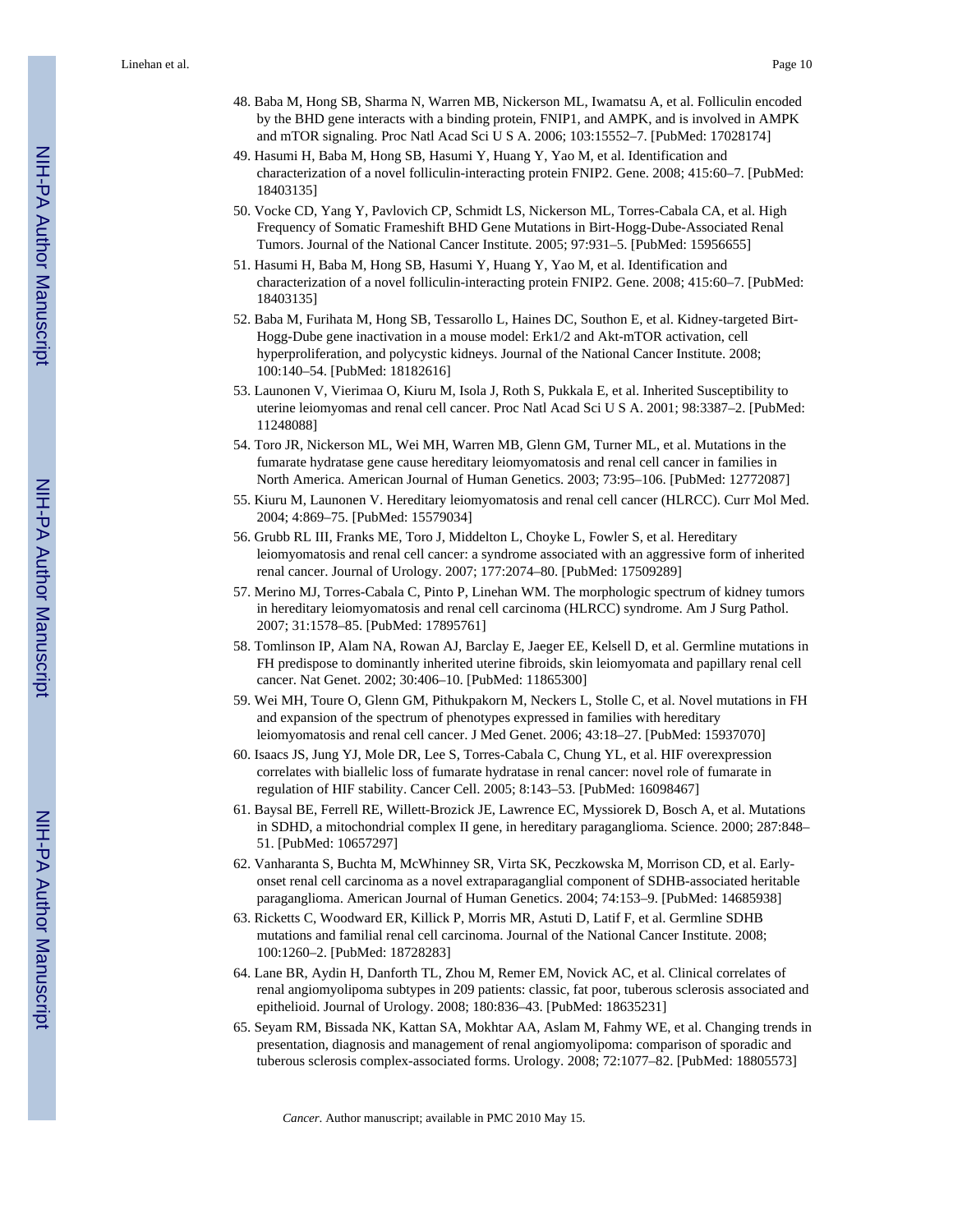Linehan et al. Page 10

- 48. Baba M, Hong SB, Sharma N, Warren MB, Nickerson ML, Iwamatsu A, et al. Folliculin encoded by the BHD gene interacts with a binding protein, FNIP1, and AMPK, and is involved in AMPK and mTOR signaling. Proc Natl Acad Sci U S A. 2006; 103:15552–7. [PubMed: 17028174]
- 49. Hasumi H, Baba M, Hong SB, Hasumi Y, Huang Y, Yao M, et al. Identification and characterization of a novel folliculin-interacting protein FNIP2. Gene. 2008; 415:60–7. [PubMed: 18403135]
- 50. Vocke CD, Yang Y, Pavlovich CP, Schmidt LS, Nickerson ML, Torres-Cabala CA, et al. High Frequency of Somatic Frameshift BHD Gene Mutations in Birt-Hogg-Dube-Associated Renal Tumors. Journal of the National Cancer Institute. 2005; 97:931–5. [PubMed: 15956655]
- 51. Hasumi H, Baba M, Hong SB, Hasumi Y, Huang Y, Yao M, et al. Identification and characterization of a novel folliculin-interacting protein FNIP2. Gene. 2008; 415:60–7. [PubMed: 18403135]
- 52. Baba M, Furihata M, Hong SB, Tessarollo L, Haines DC, Southon E, et al. Kidney-targeted Birt-Hogg-Dube gene inactivation in a mouse model: Erk1/2 and Akt-mTOR activation, cell hyperproliferation, and polycystic kidneys. Journal of the National Cancer Institute. 2008; 100:140–54. [PubMed: 18182616]
- 53. Launonen V, Vierimaa O, Kiuru M, Isola J, Roth S, Pukkala E, et al. Inherited Susceptibility to uterine leiomyomas and renal cell cancer. Proc Natl Acad Sci U S A. 2001; 98:3387–2. [PubMed: 11248088]
- 54. Toro JR, Nickerson ML, Wei MH, Warren MB, Glenn GM, Turner ML, et al. Mutations in the fumarate hydratase gene cause hereditary leiomyomatosis and renal cell cancer in families in North America. American Journal of Human Genetics. 2003; 73:95–106. [PubMed: 12772087]
- 55. Kiuru M, Launonen V. Hereditary leiomyomatosis and renal cell cancer (HLRCC). Curr Mol Med. 2004; 4:869–75. [PubMed: 15579034]
- 56. Grubb RL III, Franks ME, Toro J, Middelton L, Choyke L, Fowler S, et al. Hereditary leiomyomatosis and renal cell cancer: a syndrome associated with an aggressive form of inherited renal cancer. Journal of Urology. 2007; 177:2074–80. [PubMed: 17509289]
- 57. Merino MJ, Torres-Cabala C, Pinto P, Linehan WM. The morphologic spectrum of kidney tumors in hereditary leiomyomatosis and renal cell carcinoma (HLRCC) syndrome. Am J Surg Pathol. 2007; 31:1578–85. [PubMed: 17895761]
- 58. Tomlinson IP, Alam NA, Rowan AJ, Barclay E, Jaeger EE, Kelsell D, et al. Germline mutations in FH predispose to dominantly inherited uterine fibroids, skin leiomyomata and papillary renal cell cancer. Nat Genet. 2002; 30:406–10. [PubMed: 11865300]
- 59. Wei MH, Toure O, Glenn GM, Pithukpakorn M, Neckers L, Stolle C, et al. Novel mutations in FH and expansion of the spectrum of phenotypes expressed in families with hereditary leiomyomatosis and renal cell cancer. J Med Genet. 2006; 43:18–27. [PubMed: 15937070]
- 60. Isaacs JS, Jung YJ, Mole DR, Lee S, Torres-Cabala C, Chung YL, et al. HIF overexpression correlates with biallelic loss of fumarate hydratase in renal cancer: novel role of fumarate in regulation of HIF stability. Cancer Cell. 2005; 8:143–53. [PubMed: 16098467]
- 61. Baysal BE, Ferrell RE, Willett-Brozick JE, Lawrence EC, Myssiorek D, Bosch A, et al. Mutations in SDHD, a mitochondrial complex II gene, in hereditary paraganglioma. Science. 2000; 287:848– 51. [PubMed: 10657297]
- 62. Vanharanta S, Buchta M, McWhinney SR, Virta SK, Peczkowska M, Morrison CD, et al. Earlyonset renal cell carcinoma as a novel extraparaganglial component of SDHB-associated heritable paraganglioma. American Journal of Human Genetics. 2004; 74:153–9. [PubMed: 14685938]
- 63. Ricketts C, Woodward ER, Killick P, Morris MR, Astuti D, Latif F, et al. Germline SDHB mutations and familial renal cell carcinoma. Journal of the National Cancer Institute. 2008; 100:1260–2. [PubMed: 18728283]
- 64. Lane BR, Aydin H, Danforth TL, Zhou M, Remer EM, Novick AC, et al. Clinical correlates of renal angiomyolipoma subtypes in 209 patients: classic, fat poor, tuberous sclerosis associated and epithelioid. Journal of Urology. 2008; 180:836–43. [PubMed: 18635231]
- 65. Seyam RM, Bissada NK, Kattan SA, Mokhtar AA, Aslam M, Fahmy WE, et al. Changing trends in presentation, diagnosis and management of renal angiomyolipoma: comparison of sporadic and tuberous sclerosis complex-associated forms. Urology. 2008; 72:1077–82. [PubMed: 18805573]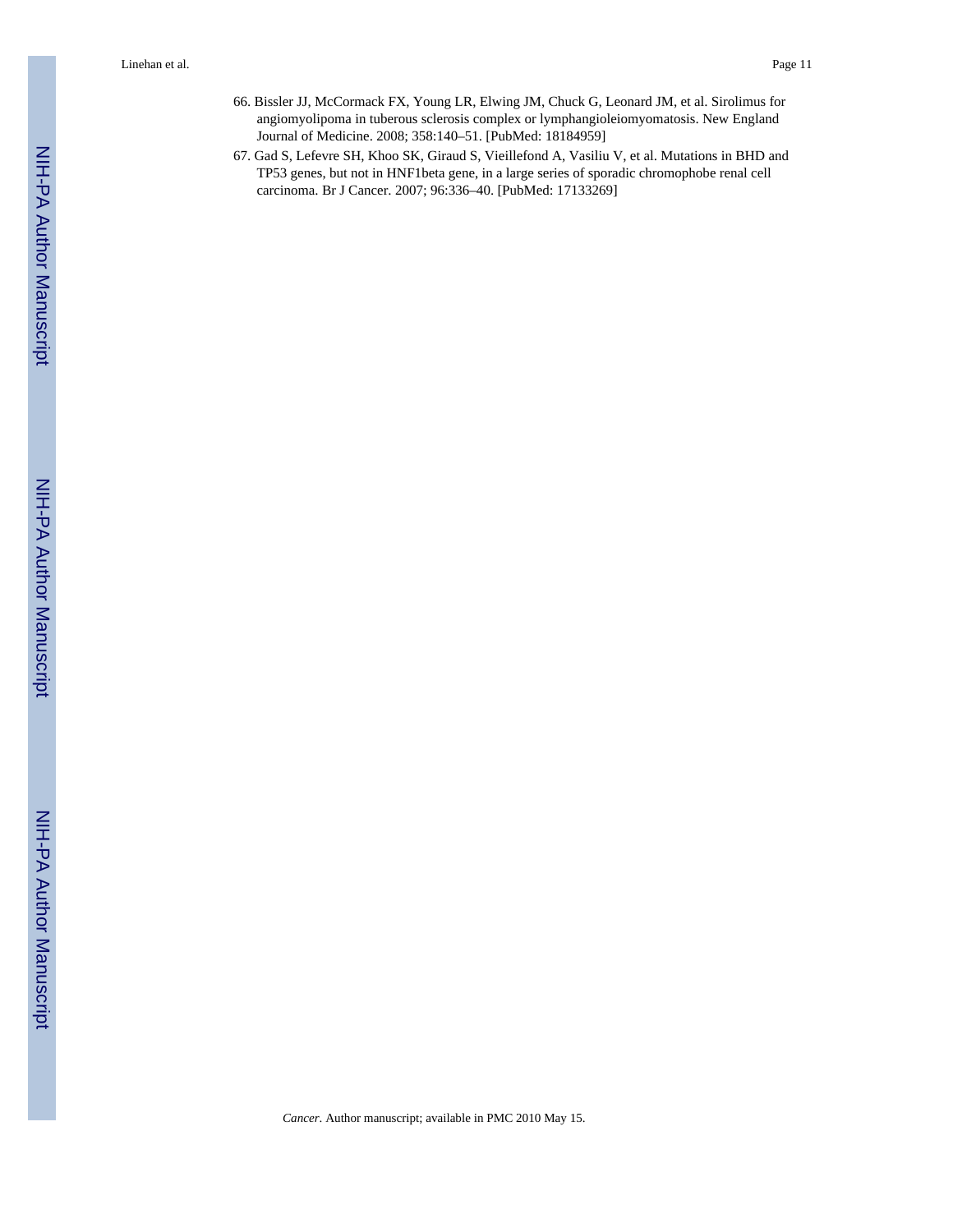- 66. Bissler JJ, McCormack FX, Young LR, Elwing JM, Chuck G, Leonard JM, et al. Sirolimus for angiomyolipoma in tuberous sclerosis complex or lymphangioleiomyomatosis. New England Journal of Medicine. 2008; 358:140–51. [PubMed: 18184959]
- 67. Gad S, Lefevre SH, Khoo SK, Giraud S, Vieillefond A, Vasiliu V, et al. Mutations in BHD and TP53 genes, but not in HNF1beta gene, in a large series of sporadic chromophobe renal cell carcinoma. Br J Cancer. 2007; 96:336–40. [PubMed: 17133269]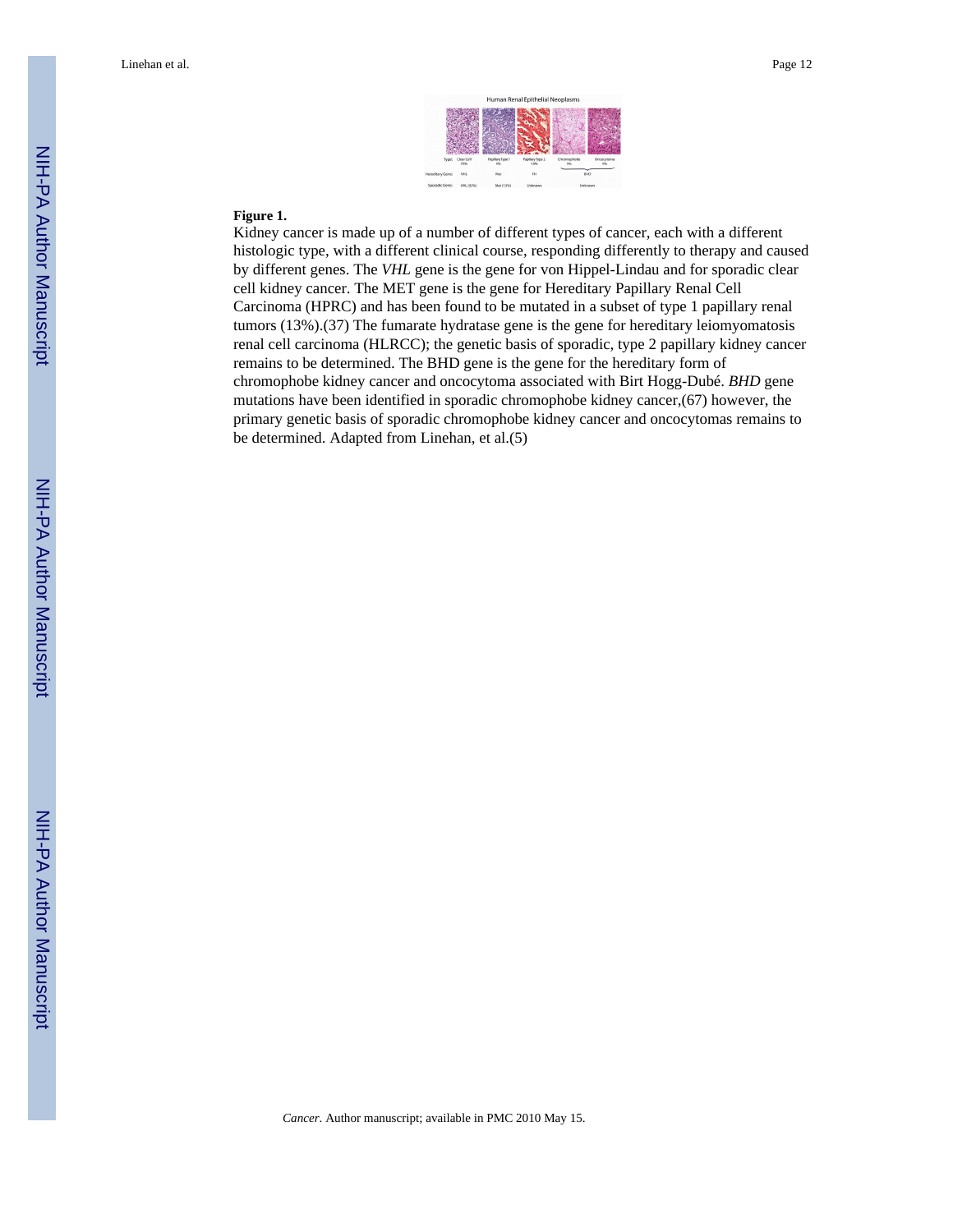

#### **Figure 1.**

Kidney cancer is made up of a number of different types of cancer, each with a different histologic type, with a different clinical course, responding differently to therapy and caused by different genes. The *VHL* gene is the gene for von Hippel-Lindau and for sporadic clear cell kidney cancer. The MET gene is the gene for Hereditary Papillary Renal Cell Carcinoma (HPRC) and has been found to be mutated in a subset of type 1 papillary renal tumors (13%).(37) The fumarate hydratase gene is the gene for hereditary leiomyomatosis renal cell carcinoma (HLRCC); the genetic basis of sporadic, type 2 papillary kidney cancer remains to be determined. The BHD gene is the gene for the hereditary form of chromophobe kidney cancer and oncocytoma associated with Birt Hogg-Dubé. *BHD* gene mutations have been identified in sporadic chromophobe kidney cancer,(67) however, the primary genetic basis of sporadic chromophobe kidney cancer and oncocytomas remains to be determined. Adapted from Linehan, et al.(5)